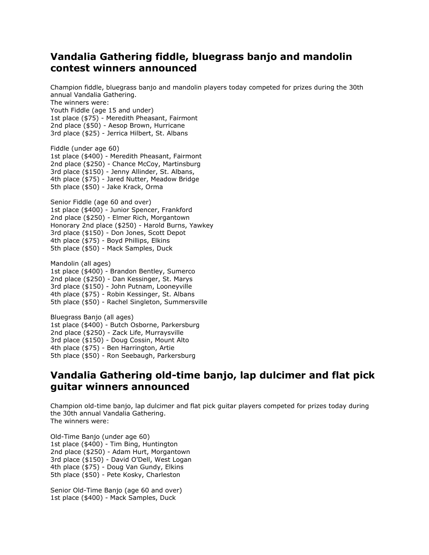## **Vandalia Gathering fiddle, bluegrass banjo and mandolin contest winners announced**

Champion fiddle, bluegrass banjo and mandolin players today competed for prizes during the 30th annual Vandalia Gathering.

The winners were:

Youth Fiddle (age 15 and under)

1st place (\$75) - Meredith Pheasant, Fairmont

2nd place (\$50) - Aesop Brown, Hurricane

3rd place (\$25) - Jerrica Hilbert, St. Albans

Fiddle (under age 60) 1st place (\$400) - Meredith Pheasant, Fairmont 2nd place (\$250) - Chance McCoy, Martinsburg 3rd place (\$150) - Jenny Allinder, St. Albans, 4th place (\$75) - Jared Nutter, Meadow Bridge 5th place (\$50) - Jake Krack, Orma

Senior Fiddle (age 60 and over) 1st place (\$400) - Junior Spencer, Frankford 2nd place (\$250) - Elmer Rich, Morgantown Honorary 2nd place (\$250) - Harold Burns, Yawkey 3rd place (\$150) - Don Jones, Scott Depot 4th place (\$75) - Boyd Phillips, Elkins 5th place (\$50) - Mack Samples, Duck

Mandolin (all ages) 1st place (\$400) - Brandon Bentley, Sumerco 2nd place (\$250) - Dan Kessinger, St. Marys 3rd place (\$150) - John Putnam, Looneyville 4th place (\$75) - Robin Kessinger, St. Albans 5th place (\$50) - Rachel Singleton, Summersville

Bluegrass Banjo (all ages) 1st place (\$400) - Butch Osborne, Parkersburg 2nd place (\$250) - Zack Life, Murraysville 3rd place (\$150) - Doug Cossin, Mount Alto 4th place (\$75) - Ben Harrington, Artie 5th place (\$50) - Ron Seebaugh, Parkersburg

## **Vandalia Gathering old-time banjo, lap dulcimer and flat pick guitar winners announced**

Champion old-time banjo, lap dulcimer and flat pick guitar players competed for prizes today during the 30th annual Vandalia Gathering. The winners were:

Old-Time Banjo (under age 60) 1st place (\$400) - Tim Bing, Huntington 2nd place (\$250) - Adam Hurt, Morgantown 3rd place (\$150) - David O'Dell, West Logan 4th place (\$75) - Doug Van Gundy, Elkins 5th place (\$50) - Pete Kosky, Charleston

Senior Old-Time Banjo (age 60 and over) 1st place (\$400) - Mack Samples, Duck